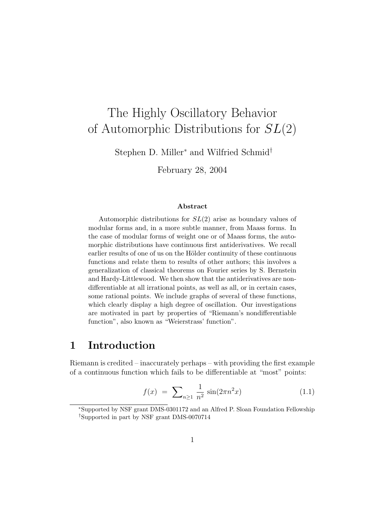# The Highly Oscillatory Behavior of Automorphic Distributions for  $SL(2)$

Stephen D. Miller<sup>∗</sup> and Wilfried Schmid†

February 28, 2004

#### Abstract

Automorphic distributions for  $SL(2)$  arise as boundary values of modular forms and, in a more subtle manner, from Maass forms. In the case of modular forms of weight one or of Maass forms, the automorphic distributions have continuous first antiderivatives. We recall earlier results of one of us on the Hölder continuity of these continuous functions and relate them to results of other authors; this involves a generalization of classical theorems on Fourier series by S. Bernstein and Hardy-Littlewood. We then show that the antiderivatives are nondifferentiable at all irrational points, as well as all, or in certain cases, some rational points. We include graphs of several of these functions, which clearly display a high degree of oscillation. Our investigations are motivated in part by properties of "Riemann's nondifferentiable function", also known as "Weierstrass' function".

## 1 Introduction

Riemann is credited – inaccurately perhaps – with providing the first example of a continuous function which fails to be differentiable at "most" points:

$$
f(x) = \sum_{n \ge 1} \frac{1}{n^2} \sin(2\pi n^2 x) \tag{1.1}
$$

<sup>∗</sup>Supported by NSF grant DMS-0301172 and an Alfred P. Sloan Foundation Fellowship †Supported in part by NSF grant DMS-0070714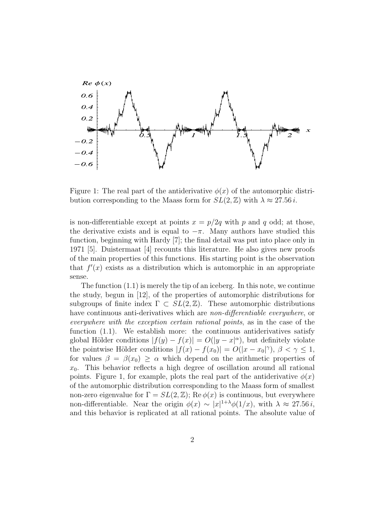

Figure 1: The real part of the antiderivative  $\phi(x)$  of the automorphic distribution corresponding to the Maass form for  $SL(2,\mathbb{Z})$  with  $\lambda \approx 27.56 i$ .

is non-differentiable except at points  $x = p/2q$  with p and q odd; at those, the derivative exists and is equal to  $-\pi$ . Many authors have studied this function, beginning with Hardy [7]; the final detail was put into place only in 1971 [5]. Duistermaat [4] recounts this literature. He also gives new proofs of the main properties of this functions. His starting point is the observation that  $f'(x)$  exists as a distribution which is automorphic in an appropriate sense.

The function (1.1) is merely the tip of an iceberg. In this note, we continue the study, begun in [12], of the properties of automorphic distributions for subgroups of finite index  $\Gamma \subset SL(2,\mathbb{Z})$ . These automorphic distributions have continuous anti-derivatives which are *non-differentiable everywhere*, or everywhere with the exception certain rational points, as in the case of the function (1.1). We establish more: the continuous antiderivatives satisfy global Hölder conditions  $|f(y) - f(x)| = O(|y - x|^{\alpha})$ , but definitely violate the pointwise Hölder conditions  $|f(x) - f(x_0)| = O(|x - x_0|^\gamma)$ ,  $\beta < \gamma \le 1$ , for values  $\beta = \beta(x_0) \ge \alpha$  which depend on the arithmetic properties of  $x_0$ . This behavior reflects a high degree of oscillation around all rational points. Figure 1, for example, plots the real part of the antiderivative  $\phi(x)$ of the automorphic distribution corresponding to the Maass form of smallest non-zero eigenvalue for  $\Gamma = SL(2, \mathbb{Z})$ ; Re  $\phi(x)$  is continuous, but everywhere non-differentiable. Near the origin  $\phi(x) \sim |x|^{1+\lambda} \phi(1/x)$ , with  $\lambda \approx 27.56 i$ , and this behavior is replicated at all rational points. The absolute value of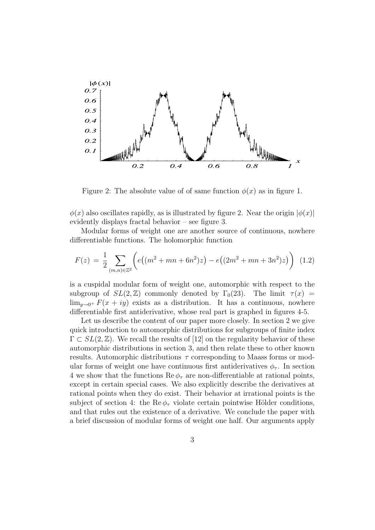

Figure 2: The absolute value of of same function  $\phi(x)$  as in figure 1.

 $\phi(x)$  also oscillates rapidly, as is illustrated by figure 2. Near the origin  $|\phi(x)|$ evidently displays fractal behavior – see figure 3.

Modular forms of weight one are another source of continuous, nowhere differentiable functions. The holomorphic function

$$
F(z) = \frac{1}{2} \sum_{(m,n)\in\mathbb{Z}^2} \left( e\left( (m^2 + mn + 6n^2)z \right) - e\left( (2m^2 + mn + 3n^2)z \right) \right) \tag{1.2}
$$

is a cuspidal modular form of weight one, automorphic with respect to the subgroup of  $SL(2,\mathbb{Z})$  commonly denoted by  $\Gamma_0(23)$ . The limit  $\tau(x)$  =  $\lim_{y\to 0^+} F(x+iy)$  exists as a distribution. It has a continuous, nowhere differentiable first antiderivative, whose real part is graphed in figures 4-5.

Let us describe the content of our paper more closely. In section 2 we give quick introduction to automorphic distributions for subgroups of finite index  $\Gamma \subset SL(2,\mathbb{Z})$ . We recall the results of [12] on the regularity behavior of these automorphic distributions in section 3, and then relate these to other known results. Automorphic distributions  $\tau$  corresponding to Maass forms or modular forms of weight one have continuous first antiderivatives  $\phi_{\tau}$ . In section 4 we show that the functions  $\text{Re}\,\phi_\tau$  are non-differentiable at rational points, except in certain special cases. We also explicitly describe the derivatives at rational points when they do exist. Their behavior at irrational points is the subject of section 4: the Re  $\phi_{\tau}$  violate certain pointwise Hölder conditions, and that rules out the existence of a derivative. We conclude the paper with a brief discussion of modular forms of weight one half. Our arguments apply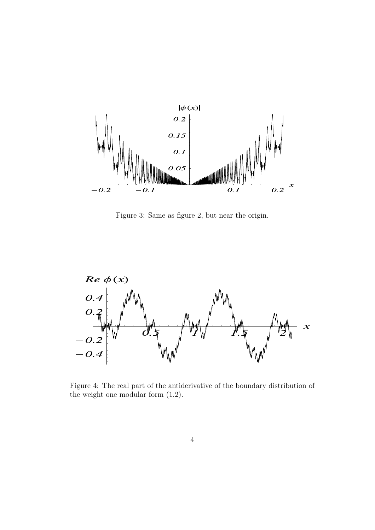

Figure 3: Same as figure 2, but near the origin.

 $\bar{\beta}$ 

 $\overline{\phantom{a}}$ 



Figure 4: The real part of the antiderivative of the boundary distribution of the weight one modular form (1.2).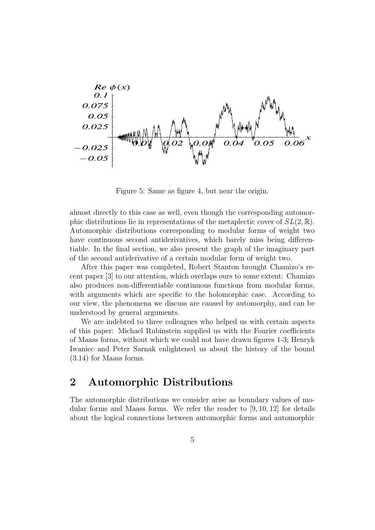

Figure 5: Same as figure 4, but near the origin.

almost directly to this case as well, even though the corresponding automorphic distributions lie in representations of the metaplectic cover of  $SL(2,\mathbb{R})$ . Automorphic distributions corresponding to modular forms of weight two have continuous second antiderivatives, which barely miss being differentiable. In the final section, we also present the graph of the imaginary part of the second antiderivative of a certain modular form of weight two.

After this paper was completed, Robert Stanton brought Chamizo's recent paper [3] to our attention, which overlaps ours to some extent: Chamizo also produces non-differentiable continuous functions from modular forms, with arguments which are specific to the holomorphic case. According to our view, the phenomena we discuss are caused by automorphy, and can be understood by general arguments.

We are indebted to three colleagues who helped us with certain aspects of this paper: Michael Rubinstein supplied us with the Fourier coefficients of Maass forms, without which we could not have drawn figures 1-3; Henryk Iwaniec and Peter Sarnak enlightened us about the history of the bound (3.14) for Maass forms.

## 2 Automorphic Distributions

The automorphic distributions we consider arise as boundary values of modular forms and Maass forms. We refer the reader to [9, 10, 12] for details about the logical connections between automorphic forms and automorphic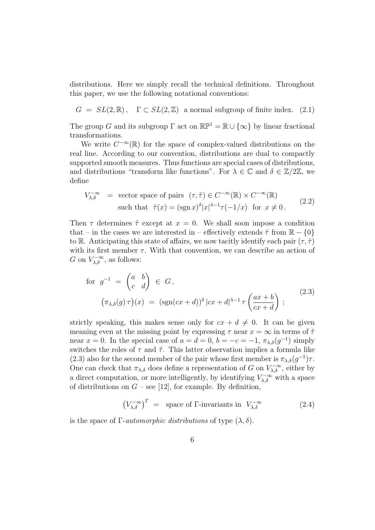distributions. Here we simply recall the technical definitions. Throughout this paper, we use the following notational conventions:

 $G = SL(2,\mathbb{R}), \Gamma \subset SL(2,\mathbb{Z})$  a normal subgroup of finite index. (2.1)

The group G and its subgroup  $\Gamma$  act on  $\mathbb{RP}^1 = \mathbb{R} \cup {\infty}$  by linear fractional transformations.

We write  $C^{-\infty}(\mathbb{R})$  for the space of complex-valued distributions on the real line. According to our convention, distributions are dual to compactly supported smooth measures. Thus functions are special cases of distributions, and distributions "transform like functions". For  $\lambda \in \mathbb{C}$  and  $\delta \in \mathbb{Z}/2\mathbb{Z}$ , we define

$$
V_{\lambda,\delta}^{-\infty} = \text{ vector space of pairs } (\tau,\tilde{\tau}) \in C^{-\infty}(\mathbb{R}) \times C^{-\infty}(\mathbb{R})
$$
  
such that  $\tilde{\tau}(x) = (\text{sgn } x)^{\delta} |x|^{\lambda-1} \tau(-1/x) \text{ for } x \neq 0.$  (2.2)

Then  $\tau$  determines  $\tilde{\tau}$  except at  $x = 0$ . We shall soon impose a condition that – in the cases we are interested in – effectively extends  $\tilde{\tau}$  from  $\mathbb{R} - \{0\}$ to R. Anticipating this state of affairs, we now tacitly identify each pair  $(\tau, \tilde{\tau})$ with its first member  $\tau$ . With that convention, we can describe an action of G on  $V^{-\infty}_{\lambda,\delta}$ , as follows:

for 
$$
g^{-1} = \begin{pmatrix} a & b \\ c & d \end{pmatrix} \in G
$$
,  
\n
$$
(\pi_{\lambda,\delta}(g)\,\tau)(x) = (\text{sgn}(cx+d))^{\delta} |cx+d|^{\lambda-1} \tau \left(\frac{ax+b}{cx+d}\right);
$$
\n(2.3)

strictly speaking, this makes sense only for  $cx + d \neq 0$ . It can be given meaning even at the missing point by expressing  $\tau$  near  $x = \infty$  in terms of  $\tilde{\tau}$ near  $x = 0$ . In the special case of  $a = d = 0$ ,  $b = -c = -1$ ,  $\pi_{\lambda,\delta}(g^{-1})$  simply switches the roles of  $\tau$  and  $\tilde{\tau}$ . This latter observation implies a formula like (2.3) also for the second member of the pair whose first member is  $\pi_{\lambda,\delta}(g^{-1})\tau$ . One can check that  $\pi_{\lambda,\delta}$  does define a representation of G on  $V^{-\infty}_{\lambda,\delta}$ , either by a direct computation, or more intelligently, by identifying  $V_{\lambda,\delta}^{-\infty}$  with a space of distributions on  $G$  – see [12], for example. By definition,

$$
\left(V_{\lambda,\delta}^{-\infty}\right)^{\Gamma} = \text{ space of }\Gamma\text{-invariants in } V_{\lambda,\delta}^{-\infty} \tag{2.4}
$$

is the space of  $\Gamma$ -*automorphic distributions* of type  $(\lambda, \delta)$ .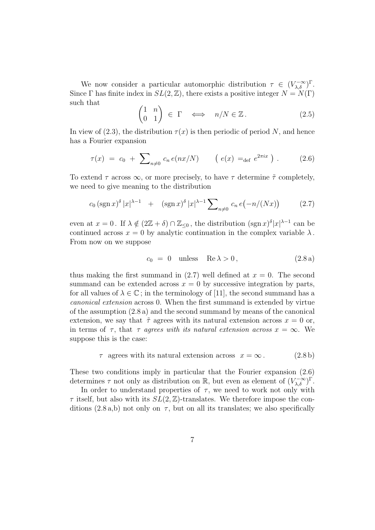We now consider a particular automorphic distribution  $\tau \in (V_{\lambda,\delta}^{-\infty})^{\Gamma}$ . Since  $\Gamma$  has finite index in  $SL(2,\mathbb{Z})$ , there exists a positive integer  $N = N(\Gamma)$ such that  $\overline{a}$ 

$$
\begin{pmatrix} 1 & n \\ 0 & 1 \end{pmatrix} \in \Gamma \iff n/N \in \mathbb{Z}.
$$
 (2.5)

In view of (2.3), the distribution  $\tau(x)$  is then periodic of period N, and hence has a Fourier expansion

$$
\tau(x) = c_0 + \sum_{n \neq 0} c_n e(nx/N) \qquad (e(x) =_{\text{def}} e^{2\pi ix}). \qquad (2.6)
$$

To extend  $\tau$  across  $\infty$ , or more precisely, to have  $\tau$  determine  $\tilde{\tau}$  completely, we need to give meaning to the distribution

$$
c_0 \left(\operatorname{sgn} x\right)^{\delta} |x|^{\lambda - 1} \quad + \quad \left(\operatorname{sgn} x\right)^{\delta} |x|^{\lambda - 1} \sum_{n \neq 0} c_n \, e\big(-n/(Nx)\big) \tag{2.7}
$$

even at  $x = 0$ . If  $\lambda \notin (2\mathbb{Z} + \delta) \cap \mathbb{Z}_{\leq 0}$ , the distribution  $(\text{sgn } x)^{\delta} |x|^{\lambda - 1}$  can be continued across  $x = 0$  by analytic continuation in the complex variable  $\lambda$ . From now on we suppose

$$
c_0 = 0 \quad \text{unless} \quad \text{Re}\,\lambda > 0 \,, \tag{2.8a}
$$

thus making the first summand in  $(2.7)$  well defined at  $x = 0$ . The second summand can be extended across  $x = 0$  by successive integration by parts, for all values of  $\lambda \in \mathbb{C}$ ; in the terminology of [11], the second summand has a canonical extension across 0. When the first summand is extended by virtue of the assumption (2.8 a) and the second summand by means of the canonical extension, we say that  $\tilde{\tau}$  agrees with its natural extension across  $x = 0$  or, in terms of  $\tau$ , that  $\tau$  agrees with its natural extension across  $x = \infty$ . We suppose this is the case:

$$
\tau \text{ agrees with its natural extension across } x = \infty. \tag{2.8b}
$$

These two conditions imply in particular that the Fourier expansion (2.6) determines  $\tau$  not only as distribution on  $\mathbb{R}$ , but even as element of  $(V_{\lambda,\delta}^{-\infty})^{\Gamma}$ .

In order to understand properties of  $\tau$ , we need to work not only with  $\tau$  itself, but also with its  $SL(2,\mathbb{Z})$ -translates. We therefore impose the conditions  $(2.8 a,b)$  not only on  $\tau$ , but on all its translates; we also specifically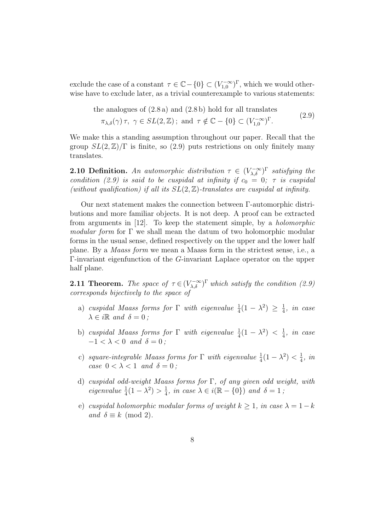exclude the case of a constant  $\tau \in \mathbb{C} - \{0\} \subset (V_{1,0}^{-\infty})^{\Gamma}$ , which we would otherwise have to exclude later, as a trivial counterexample to various statements:

the analogues of (2.8 a) and (2.8 b) hold for all translates  
\n
$$
\pi_{\lambda,\delta}(\gamma)\tau, \ \gamma \in SL(2,\mathbb{Z})
$$
; and  $\tau \notin \mathbb{C} - \{0\} \subset (V_{1,0}^{-\infty})^{\Gamma}$ . (2.9)

We make this a standing assumption throughout our paper. Recall that the group  $SL(2,\mathbb{Z})/\Gamma$  is finite, so (2.9) puts restrictions on only finitely many translates.

**2.10 Definition.** An automorphic distribution  $\tau \in (V_{\lambda,\delta}^{-\infty})^{\Gamma}$  satisfying the condition (2.9) is said to be cuspidal at infinity if  $c_0 = 0$ ;  $\tau$  is cuspidal (without qualification) if all its  $SL(2, \mathbb{Z})$ -translates are cuspidal at infinity.

Our next statement makes the connection between Γ-automorphic distributions and more familiar objects. It is not deep. A proof can be extracted from arguments in [12]. To keep the statement simple, by a holomorphic modular form for  $\Gamma$  we shall mean the datum of two holomorphic modular forms in the usual sense, defined respectively on the upper and the lower half plane. By a Maass form we mean a Maass form in the strictest sense, i.e., a Γ-invariant eigenfunction of the G-invariant Laplace operator on the upper half plane.

**2.11 Theorem.** The space of  $\tau \in (V_{\lambda,\delta}^{-\infty})^{\Gamma}$  which satisfy the condition (2.9) corresponds bijectively to the space of

- a) cuspidal Maass forms for  $\Gamma$  with eigenvalue  $\frac{1}{4}(1-\lambda^2) \geq \frac{1}{4}$  $\frac{1}{4}$ , in case  $\lambda \in i \mathbb{R}$  and  $\delta = 0$  ;
- b) cuspidal Maass forms for  $\Gamma$  with eigenvalue  $\frac{1}{4}(1-\lambda^2) < \frac{1}{4}$  $\frac{1}{4}$ , in case  $-1 < \lambda < 0$  and  $\delta = 0$ ;
- c) square-integrable Maass forms for  $\Gamma$  with eigenvalue  $\frac{1}{4}(1-\lambda^2) < \frac{1}{4}$  $\frac{1}{4}$ , in case  $0 < \lambda < 1$  and  $\delta = 0$ ;
- d) cuspidal odd-weight Maass forms for Γ, of any given odd weight, with eigenvalue  $\frac{1}{4}(1-\lambda^2) > \frac{1}{4}$  $\frac{1}{4}$ , in case  $\lambda \in i(\mathbb{R} - \{0\})$  and  $\delta = 1$ ;
- e) cuspidal holomorphic modular forms of weight  $k > 1$ , in case  $\lambda = 1 k$ and  $\delta \equiv k \pmod{2}$ .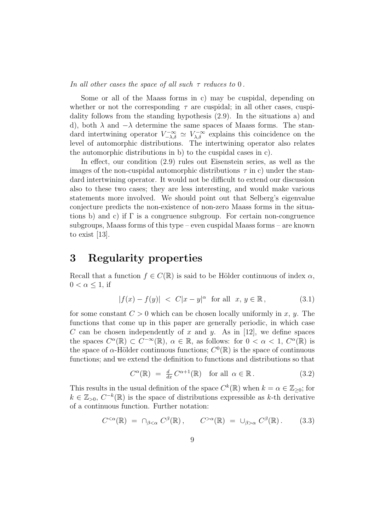In all other cases the space of all such  $\tau$  reduces to 0.

Some or all of the Maass forms in c) may be cuspidal, depending on whether or not the corresponding  $\tau$  are cuspidal; in all other cases, cuspidality follows from the standing hypothesis (2.9). In the situations a) and d), both  $\lambda$  and  $-\lambda$  determine the same spaces of Maass forms. The standard intertwining operator  $V^{-\infty}_{-\lambda,\delta} \simeq V^{-\infty}_{\lambda,\delta}$  explains this coincidence on the level of automorphic distributions. The intertwining operator also relates the automorphic distributions in b) to the cuspidal cases in c).

In effect, our condition (2.9) rules out Eisenstein series, as well as the images of the non-cuspidal automorphic distributions  $\tau$  in c) under the standard intertwining operator. It would not be difficult to extend our discussion also to these two cases; they are less interesting, and would make various statements more involved. We should point out that Selberg's eigenvalue conjecture predicts the non-existence of non-zero Maass forms in the situations b) and c) if  $\Gamma$  is a congruence subgroup. For certain non-congruence subgroups, Maass forms of this type – even cuspidal Maass forms – are known to exist [13].

## 3 Regularity properties

Recall that a function  $f \in C(\mathbb{R})$  is said to be Hölder continuous of index  $\alpha$ ,  $0 < \alpha \leq 1$ , if

$$
|f(x) - f(y)| < C|x - y|^{\alpha} \text{ for all } x, y \in \mathbb{R}, \tag{3.1}
$$

for some constant  $C > 0$  which can be chosen locally uniformly in x, y. The functions that come up in this paper are generally periodic, in which case C can be chosen independently of x and y. As in [12], we define spaces the spaces  $C^{\alpha}(\mathbb{R}) \subset C^{-\infty}(\mathbb{R}), \alpha \in \mathbb{R}$ , as follows: for  $0 < \alpha < 1, C^{\alpha}(\mathbb{R})$  is the space of  $\alpha$ -Hölder continuous functions;  $C^0(\mathbb{R})$  is the space of continuous functions; and we extend the definition to functions and distributions so that

$$
C^{\alpha}(\mathbb{R}) = \frac{d}{dx} C^{\alpha+1}(\mathbb{R}) \quad \text{for all } \alpha \in \mathbb{R} \,. \tag{3.2}
$$

This results in the usual definition of the space  $C^k(\mathbb{R})$  when  $k = \alpha \in \mathbb{Z}_{\geq 0}$ ; for  $k \in \mathbb{Z}_{>0}, C^{-k}(\mathbb{R})$  is the space of distributions expressible as k-th derivative of a continuous function. Further notation:

$$
C^{<\alpha}(\mathbb{R}) = \cap_{\beta < \alpha} C^{\beta}(\mathbb{R}), \qquad C^{>\alpha}(\mathbb{R}) = \cup_{\beta > \alpha} C^{\beta}(\mathbb{R}). \tag{3.3}
$$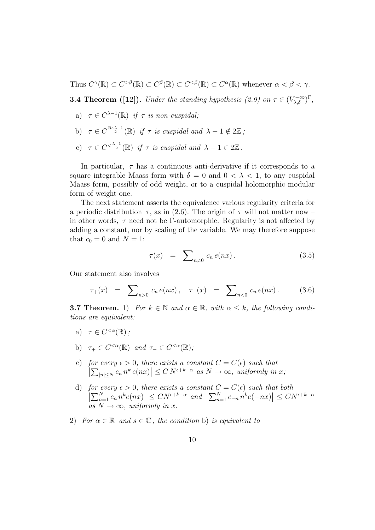Thus  $C^{\gamma}(\mathbb{R}) \subset C^{>\beta}(\mathbb{R}) \subset C^{\beta}(\mathbb{R}) \subset C^{<\beta}(\mathbb{R}) \subset C^{\alpha}(\mathbb{R})$  whenever  $\alpha < \beta < \gamma$ .

**3.4 Theorem ([12]).** Under the standing hypothesis (2.9) on  $\tau \in (V_{\lambda,\delta}^{-\infty})^{\Gamma}$ ,

- a)  $\tau \in C^{\lambda-1}(\mathbb{R})$  if  $\tau$  is non-cuspidal;
- b)  $\tau \in C^{\frac{\text{Re }\lambda-1}{2}}(\mathbb{R})$  if  $\tau$  is cuspidal and  $\lambda 1 \notin 2\mathbb{Z}$ ;
- c)  $\tau \in C^{<\frac{\lambda-1}{2}}(\mathbb{R})$  if  $\tau$  is cuspidal and  $\lambda 1 \in 2\mathbb{Z}$ .

In particular,  $\tau$  has a continuous anti-derivative if it corresponds to a square integrable Maass form with  $\delta = 0$  and  $0 < \lambda < 1$ , to any cuspidal Maass form, possibly of odd weight, or to a cuspidal holomorphic modular form of weight one.

The next statement asserts the equivalence various regularity criteria for a periodic distribution  $\tau$ , as in (2.6). The origin of  $\tau$  will not matter now – in other words,  $\tau$  need not be Γ-automorphic. Regularity is not affected by adding a constant, nor by scaling of the variable. We may therefore suppose that  $c_0 = 0$  and  $N = 1$ :

$$
\tau(x) = \sum_{n \neq 0} c_n e(nx). \tag{3.5}
$$

Our statement also involves

$$
\tau_+(x) = \sum_{n>0} c_n e(nx), \quad \tau_-(x) = \sum_{n<0} c_n e(nx). \tag{3.6}
$$

**3.7 Theorem.** 1) For  $k \in \mathbb{N}$  and  $\alpha \in \mathbb{R}$ , with  $\alpha \leq k$ , the following conditions are equivalent:

- a)  $\tau \in C^{<\alpha}(\mathbb{R})$ ;
- b)  $\tau_+ \in C^{<\alpha}(\mathbb{R})$  and  $\tau_- \in C^{<\alpha}(\mathbb{R})$ ;
- c) for every  $\epsilon > 0$ , there exists a constant  $C = C(\epsilon)$  such that  $\left| \sum_{|n| \le N} c_n n^k e(nx) \right| \le C N^{\epsilon + k \alpha}$  as  $N \to \infty$ , uniformly in  $\begin{aligned} \textit{if } \mathcal{L} \in \mathbb{C} \textit{is a constant } \mathbf{C} = \mathbf{C}(\epsilon) \textit{ such that } \vert \leq C \, N^{\epsilon + k - \alpha} \textit{ as } N \to \infty, \textit{ uniformly in } x; \end{aligned}$
- d) for every  $\epsilon > 0$ , there exists a constant  $C = C(\epsilon)$  such that both  $\left| \sum_{n=1}^{N} c_n n^k e(nx) \right| \leq CN^{\epsilon + k \alpha}$  and  $\left| \sum_{n=1}^{N} c_{-n} n^k e(-nx) \right| \leq C N^{\epsilon + k \alpha}$  $\begin{aligned} &\textit{here exists a constant $C = C(\epsilon)$ such that} \\ &\Big| \leq CN^{\epsilon+k-\alpha} \textit{ and } \Big| \sum_{n=1}^{N} c_{-n} \, n^k e(-nx) \Big| \end{aligned}$ at both<br> $\vert \leq CN^{\epsilon+k-\alpha}$ as  $N \to \infty$ , uniformly in x.
- 2) For  $\alpha \in \mathbb{R}$  and  $s \in \mathbb{C}$ , the condition b) is equivalent to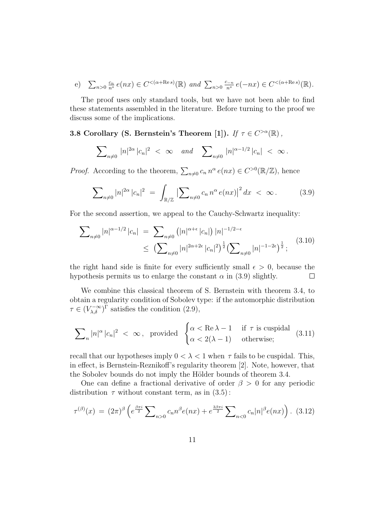e) 
$$
\sum_{n>0} \frac{c_n}{n^s} e(nx) \in C^{<(\alpha+\text{Re}s)}(\mathbb{R})
$$
 and  $\sum_{n>0} \frac{c_{-n}}{n^s} e(-nx) \in C^{<(\alpha+\text{Re}s)}(\mathbb{R})$ .

The proof uses only standard tools, but we have not been able to find these statements assembled in the literature. Before turning to the proof we discuss some of the implications.

### 3.8 Corollary (S. Bernstein's Theorem [1]). If  $\tau \in C^{>\alpha}(\mathbb{R})$ ,

$$
\sum\nolimits_{n\neq 0} |n|^{2\alpha} |c_n|^2 \ < \ \infty \quad \textit{and} \quad \sum\nolimits_{n\neq 0} |n|^{\alpha - 1/2} |c_n| \ < \ \infty \, .
$$

*Proof.* According to the theorem,  $\sum_{n\neq 0} c_n n^{\alpha} e(nx) \in C^{>0}(\mathbb{R}/\mathbb{Z})$ , hence

$$
\sum_{n\neq 0} |n|^{2\alpha} |c_n|^2 = \int_{\mathbb{R}/\mathbb{Z}} |\sum_{n\neq 0} c_n n^{\alpha} e(nx)|^2 dx < \infty.
$$
 (3.9)

For the second assertion, we appeal to the Cauchy-Schwartz inequality:

$$
\sum_{n\neq 0} |n|^{\alpha - 1/2} |c_n| = \sum_{n\neq 0} (|n|^{\alpha + \epsilon} |c_n|) |n|^{-1/2 - \epsilon} \le \left( \sum_{n\neq 0} |n|^{2\alpha + 2\epsilon} |c_n|^2 \right)^{\frac{1}{2}} \left( \sum_{n\neq 0} |n|^{-1 - 2\epsilon} \right)^{\frac{1}{2}}; \tag{3.10}
$$

the right hand side is finite for every sufficiently small  $\epsilon > 0$ , because the hypothesis permits us to enlarge the constant  $\alpha$  in (3.9) slightly.  $\Box$ 

We combine this classical theorem of S. Bernstein with theorem 3.4, to obtain a regularity condition of Sobolev type: if the automorphic distribution  $\tau \in (V_{\lambda,\delta}^{-\infty})^{\Gamma}$  satisfies the condition (2.9),

$$
\sum\nolimits_n |n|^{\alpha} \, |c_n|^2 \; < \; \infty \, , \; \; \text{provided } \; \; \begin{cases} \alpha < \text{Re} \, \lambda - 1 & \text{if } \, \tau \, \, \text{is cuspidal} \\ \alpha < 2(\lambda - 1) & \text{otherwise}; \end{cases} \; \; (3.11)
$$

recall that our hypotheses imply  $0 < \lambda < 1$  when  $\tau$  fails to be cuspidal. This, in effect, is Bernstein-Reznikoff's regularity theorem [2]. Note, however, that the Sobolev bounds do not imply the Hölder bounds of theorem 3.4.

One can define a fractional derivative of order  $\beta > 0$  for any periodic distribution  $\tau$  without constant term, as in  $(3.5)$ :

$$
\tau^{(\beta)}(x) = (2\pi)^{\beta} \left( e^{\frac{\beta \pi i}{2}} \sum_{n>0} c_n n^{\beta} e(nx) + e^{\frac{3\beta \pi i}{2}} \sum_{n<0} c_n |n|^{\beta} e(nx) \right). \tag{3.12}
$$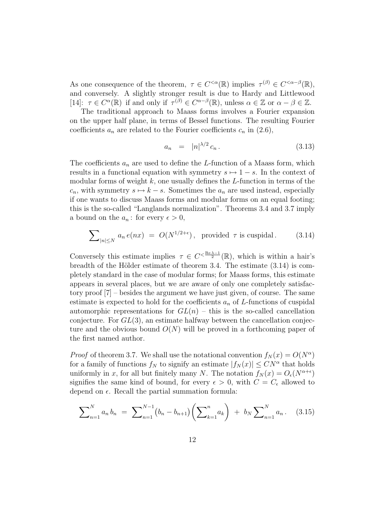As one consequence of the theorem,  $\tau \in C^{<\alpha}(\mathbb{R})$  implies  $\tau^{(\beta)} \in C^{<\alpha-\beta}(\mathbb{R}),$ and conversely. A slightly stronger result is due to Hardy and Littlewood [14]:  $\tau \in C^{\alpha}(\mathbb{R})$  if and only if  $\tau^{(\beta)} \in C^{\alpha-\beta}(\mathbb{R})$ , unless  $\alpha \in \mathbb{Z}$  or  $\alpha - \beta \in \mathbb{Z}$ .

The traditional approach to Maass forms involves a Fourier expansion on the upper half plane, in terms of Bessel functions. The resulting Fourier coefficients  $a_n$  are related to the Fourier coefficients  $c_n$  in (2.6),

$$
a_n = |n|^{\lambda/2} c_n. \tag{3.13}
$$

The coefficients  $a_n$  are used to define the L-function of a Maass form, which results in a functional equation with symmetry  $s \mapsto 1 - s$ . In the context of modular forms of weight  $k$ , one usually defines the  $L$ -function in terms of the  $c_n$ , with symmetry  $s \mapsto k - s$ . Sometimes the  $a_n$  are used instead, especially if one wants to discuss Maass forms and modular forms on an equal footing; this is the so-called "Langlands normalization". Theorems 3.4 and 3.7 imply a bound on the  $a_n$ : for every  $\epsilon > 0$ ,

$$
\sum_{|n| \le N} a_n e(nx) = O(N^{1/2 + \epsilon}), \text{ provided } \tau \text{ is cuspidal.} \qquad (3.14)
$$

Conversely this estimate implies  $\tau \in C^{<\frac{\text{Re }\lambda-1}{2}}(\mathbb{R})$ , which is within a hair's breadth of the Hölder estimate of theorem 3.4. The estimate  $(3.14)$  is completely standard in the case of modular forms; for Maass forms, this estimate appears in several places, but we are aware of only one completely satisfactory proof [7] – besides the argument we have just given, of course. The same estimate is expected to hold for the coefficients  $a_n$  of L-functions of cuspidal automorphic representations for  $GL(n)$  – this is the so-called cancellation conjecture. For  $GL(3)$ , an estimate halfway between the cancellation conjecture and the obvious bound  $O(N)$  will be proved in a forthcoming paper of the first named author.

*Proof* of theorem 3.7. We shall use the notational convention  $f_N(x) = O(N^{\alpha})$ for a family of functions  $f_N$  to signify an estimate  $|f_N(x)| \leq CN^{\alpha}$  that holds uniformly in x, for all but finitely many N. The notation  $f_N(x) = O_e(N^{\alpha+\epsilon})$ signifies the same kind of bound, for every  $\epsilon > 0$ , with  $C = C_{\epsilon}$  allowed to depend on  $\epsilon$ . Recall the partial summation formula:

$$
\sum_{n=1}^{N} a_n b_n = \sum_{n=1}^{N-1} (b_n - b_{n+1}) \left( \sum_{k=1}^{n} a_k \right) + b_N \sum_{n=1}^{N} a_n.
$$
 (3.15)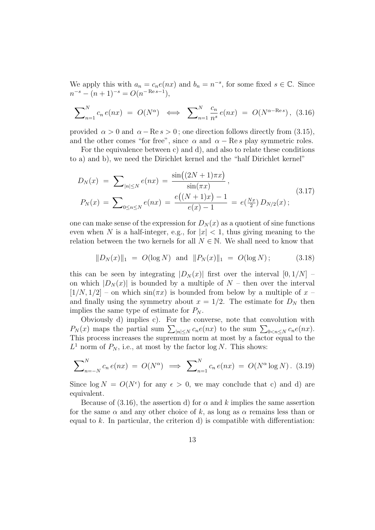We apply this with  $a_n = c_n e(nx)$  and  $b_n = n^{-s}$ , for some fixed  $s \in \mathbb{C}$ . Since  $n^{-s} - (n+1)^{-s} = O(n^{-\operatorname{Re} s - 1}),$ 

$$
\sum_{n=1}^{N} c_n e(nx) = O(N^{\alpha}) \iff \sum_{n=1}^{N} \frac{c_n}{n^s} e(nx) = O(N^{\alpha - \text{Re}s}),
$$
 (3.16)

provided  $\alpha > 0$  and  $\alpha - \text{Re } s > 0$ ; one direction follows directly from (3.15), and the other comes "for free", since  $\alpha$  and  $\alpha$  – Re s play symmetric roles.

For the equivalence between c) and d), and also to relate these conditions to a) and b), we need the Dirichlet kernel and the "half Dirichlet kernel"

$$
D_N(x) = \sum_{|n| \le N} e(nx) = \frac{\sin((2N+1)\pi x)}{\sin(\pi x)},
$$
  
\n
$$
P_N(x) = \sum_{0 \le n \le N} e(nx) = \frac{e((N+1)x) - 1}{e(x) - 1} = e(\frac{Nx}{2}) D_{N/2}(x);
$$
\n(3.17)

one can make sense of the expression for  $D<sub>N</sub>(x)$  as a quotient of sine functions even when N is a half-integer, e.g., for  $|x| < 1$ , thus giving meaning to the relation between the two kernels for all  $N \in \mathbb{N}$ . We shall need to know that

 $||D_N(x)||_1 = O(\log N)$  and  $||P_N(x)||_1 = O(\log N)$ ; (3.18)

this can be seen by integrating  $|D_N(x)|$  first over the interval  $[0, 1/N]$  – on which  $|D_N(x)|$  is bounded by a multiple of  $N$  – then over the interval  $[1/N, 1/2]$  – on which  $sin(\pi x)$  is bounded from below by a multiple of x – and finally using the symmetry about  $x = 1/2$ . The estimate for  $D<sub>N</sub>$  then implies the same type of estimate for  $P_N$ .

Obviously d) implies c). For the converse, note that convolution with Obviously d) implies c). For the converse, note that convolution with  $P_N(x)$  maps the partial sum  $\sum_{n \leq N} c_n e(nx)$  to the sum  $\sum_{0 \leq n \leq N} c_n e(nx)$ . This process increases the supremum norm at most by a factor equal to the  $L^1$  norm of  $P_N$ , i.e., at most by the factor log N. This shows:

$$
\sum_{n=-N}^{N} c_n e(nx) = O(N^{\alpha}) \implies \sum_{n=1}^{N} c_n e(nx) = O(N^{\alpha} \log N). \tag{3.19}
$$

Since  $\log N = O(N^{\epsilon})$  for any  $\epsilon > 0$ , we may conclude that c) and d) are equivalent.

Because of (3.16), the assertion d) for  $\alpha$  and k implies the same assertion for the same  $\alpha$  and any other choice of k, as long as  $\alpha$  remains less than or equal to  $k$ . In particular, the criterion d) is compatible with differentiation: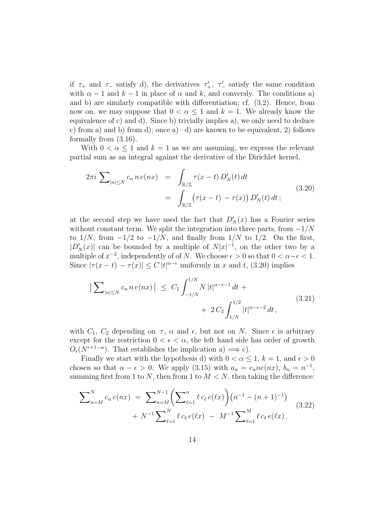if  $\tau_+$  and  $\tau_-$  satisfy d), the derivatives  $\tau'_+$ ,  $\tau'_-$  satisfy the same condition with  $\alpha - 1$  and  $k - 1$  in place of  $\alpha$  and  $k$ , and conversly. The conditions a) and b) are similarly compatible with differentiation; cf. (3.2). Hence, from now on, we may suppose that  $0 < \alpha \leq 1$  and  $k = 1$ . We already know the equivalence of c) and d). Since b) trivially implies a), we only need to deduce c) from a) and b) from d); once  $a$  –d) are known to be equivalent, 2) follows formally from (3.16).

With  $0 < \alpha \leq 1$  and  $k = 1$  as we are assuming, we express the relevant partial sum as an integral against the derivative of the Dirichlet kernel,

$$
2\pi i \sum_{|n| \le N} c_n n e(nx) = \int_{\mathbb{R}/\mathbb{Z}} \tau(x - t) D'_N(t) dt
$$
  
= 
$$
\int_{\mathbb{R}/\mathbb{Z}} (\tau(x - t) - \tau(x)) D'_N(t) dt ;
$$
 (3.20)

at the second step we have used the fact that  $D'_N(x)$  has a Fourier series without constant term. We split the integration into three parts, from  $-1/N$ to  $1/N$ , from  $-1/2$  to  $-1/N$ , and finally from  $1/N$  to  $1/2$ . On the first,  $|D'_N(x)|$  can be bounded by a multiple of  $N|x|^{-1}$ , on the other two by a multiple of  $x^{-2}$ , independently of of N. We choose  $\epsilon > 0$  so that  $0 < \alpha - \epsilon < 1$ . Since  $|\tau(x-t) - \tau(x)| \leq C |t|^{\alpha-\epsilon}$  uniformly in x and t, (3.20) implies

$$
\left| \sum_{|n| \le N} c_n n \, e(nx) \right| \le C_1 \int_{-1/N}^{1/N} N \, |t|^{\alpha - \epsilon - 1} \, dt + 2 \, C_2 \int_{1/N}^{1/2} |t|^{\alpha - \epsilon - 2} \, dt \,, \tag{3.21}
$$

with  $C_1$ ,  $C_2$  depending on  $\tau$ ,  $\alpha$  and  $\epsilon$ , but not on N. Since  $\epsilon$  is arbitrary except for the restriction  $0 < \epsilon < \alpha$ , the left hand side has order of growth  $O_{\epsilon}(N^{\epsilon+1-\alpha})$ . That establishes the implication a)  $\Longrightarrow$  c).

Finally we start with the hypothesis d) with  $0 < \alpha \leq 1, k = 1$ , and  $\epsilon > 0$ chosen so that  $\alpha - \epsilon > 0$ . We apply (3.15) with  $a_n = c_n n e(nx)$ ,  $b_n = n^{-1}$ , summing first from 1 to N, then from 1 to  $M < N$ , then taking the difference:

$$
\sum_{n=M}^{N} c_n e(nx) = \sum_{n=M}^{N-1} \left( \sum_{\ell=1}^{n} \ell c_{\ell} e(\ell x) \right) (n^{-1} - (n+1)^{-1}) + N^{-1} \sum_{\ell=1}^{N} \ell c_{\ell} e(\ell x) - M^{-1} \sum_{\ell=1}^{M} \ell c_{\ell} e(\ell x).
$$
\n(3.22)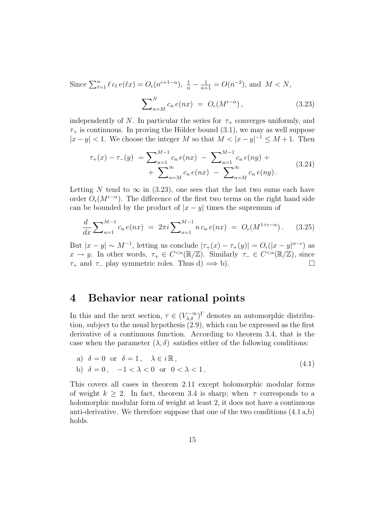Since  $\sum_{\ell=1}^n \ell c_\ell e(\ell x) = O_\epsilon(n^{\epsilon+1-\alpha}), \frac{1}{n} - \frac{1}{n+1} = O(n^{-2}),$  and  $M < N$ ,  $\overline{\phantom{1}}^N$  $\sum_{n=M}^{N} c_n e(nx) = O_{\epsilon}(M^{\epsilon-\alpha})$  $(3.23)$ 

independently of N. In particular the series for  $\tau_+$  converges uniformly, and  $\tau_{+}$  is continuous. In proving the Hölder bound (3.1), we may as well suppose  $|x-y| < 1$ . We choose the integer M so that  $M < |x-y|^{-1} \le M + 1$ . Then

$$
\tau_{+}(x) - \tau_{-}(y) = \sum_{n=1}^{M-1} c_{n} e(nx) - \sum_{n=1}^{M-1} c_{n} e(ny) + \sum_{n=M}^{\infty} c_{n} e(nx) - \sum_{n=M}^{\infty} c_{n} e(ny).
$$
\n(3.24)

Letting N tend to  $\infty$  in (3.23), one sees that the last two sums each have order  $O_{\epsilon}(M^{\epsilon-\alpha})$ . The difference of the first two terms on the right hand side can be bounded by the product of  $|x-y|$  times the supremum of

$$
\frac{d}{dx} \sum_{n=1}^{M-1} c_n e(nx) = 2\pi i \sum_{n=1}^{M-1} n c_n e(nx) = O_{\epsilon}(M^{1+\epsilon-\alpha}). \tag{3.25}
$$

But  $|x-y| \sim M^{-1}$ , letting us conclude  $|\tau_+(x) - \tau_+(y)| = O_{\epsilon}(|x-y|^{\alpha-\epsilon})$  as  $x \to y$ . In other words,  $\tau_+ \in C^{<\alpha}(\mathbb{R}/\mathbb{Z})$ . Similarly  $\tau_- \in C^{<\alpha}(\mathbb{R}/\mathbb{Z})$ , since  $\tau_+$  and  $\tau_-$  play symmetric roles. Thus d)  $\implies$  b).

## 4 Behavior near rational points

In this and the next section,  $\tau \in (V_{\lambda,\delta}^{-\infty})^{\Gamma}$  denotes an automorphic distribution, subject to the usual hypothesis (2.9), which can be expressed as the first derivative of a continuous function. According to theorem 3.4, that is the case when the parameter  $(\lambda, \delta)$  satisfies either of the following conditions:

a) 
$$
\delta = 0
$$
 or  $\delta = 1$ ,  $\lambda \in i\mathbb{R}$ ,  
b)  $\delta = 0$ ,  $-1 < \lambda < 0$  or  $0 < \lambda < 1$ . (4.1)

This covers all cases in theorem 2.11 except holomorphic modular forms of weight  $k \geq 2$ . In fact, theorem 3.4 is sharp; when  $\tau$  corresponds to a holomorphic modular form of weight at least 2, it does not have a continuous anti-derivative. We therefore suppose that one of the two conditions (4.1 a,b) holds.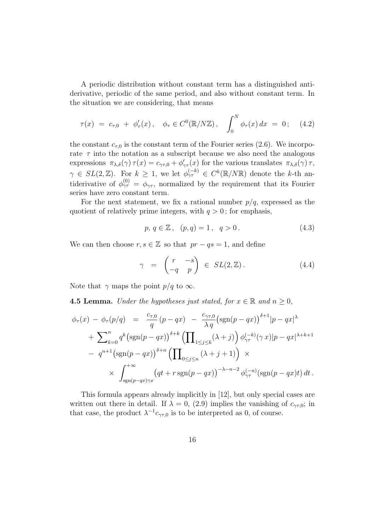A periodic distribution without constant term has a distinguished antiderivative, periodic of the same period, and also without constant term. In the situation we are considering, that means

$$
\tau(x) = c_{\tau,0} + \phi_{\tau}'(x), \quad \phi_{\tau} \in C^{0}(\mathbb{R}/N\mathbb{Z}), \quad \int_{0}^{N} \phi_{\tau}(x) dx = 0; \quad (4.2)
$$

the constant  $c_{\tau,0}$  is the constant term of the Fourier series (2.6). We incorporate  $\tau$  into the notation as a subscript because we also need the analogous expressions  $\pi_{\lambda,\delta}(\gamma) \tau(x) = c_{\gamma\tau,0} + \phi'_{\gamma\tau}(x)$  for the various translates  $\pi_{\lambda,\delta}(\gamma) \tau$ ,  $\gamma \in SL(2,\mathbb{Z})$ . For  $k \geq 1$ , we let  $\phi_{\gamma\tau}^{(-k)} \in C^k(\mathbb{R}/N\mathbb{R})$  denote the k-th antiderivative of  $\phi_{\gamma\tau}^{(0)} = \phi_{\gamma\tau}$ , normalized by the requirement that its Fourier series have zero constant term.

For the next statement, we fix a rational number  $p/q$ , expressed as the quotient of relatively prime integers, with  $q > 0$ ; for emphasis,

$$
p, q \in \mathbb{Z}, (p,q) = 1, q > 0.
$$
 (4.3)

We can then choose  $r, s \in \mathbb{Z}$  so that  $pr - qs = 1$ , and define

$$
\gamma = \begin{pmatrix} r & -s \\ -q & p \end{pmatrix} \in SL(2, \mathbb{Z}). \tag{4.4}
$$

Note that  $\gamma$  maps the point  $p/q$  to  $\infty$ .

**4.5 Lemma.** Under the hypotheses just stated, for  $x \in \mathbb{R}$  and  $n \geq 0$ ,

$$
\phi_{\tau}(x) - \phi_{\tau}(p/q) = \frac{c_{\tau,0}}{q} (p - qx) - \frac{c_{\gamma\tau,0}}{\lambda q} (\text{sgn}(p - qx))^{\delta+1} |p - qx|^{\lambda}
$$

$$
+ \sum_{k=0}^{n} q^{k} (\text{sgn}(p - qx))^{ \delta+k} \left( \prod_{1 \le j \le k} (\lambda + j) \right) \phi_{\gamma\tau}^{(-k)}(\gamma x) |p - qx|^{\lambda + k + 1}
$$

$$
- q^{n+1} (\text{sgn}(p - qx))^{ \delta+n} \left( \prod_{0 \le j \le n} (\lambda + j + 1) \right) \times
$$

$$
\times \int_{\text{sgn}(p - qx)\gamma x}^{+\infty} (qt + r \text{sgn}(p - qx))^{-\lambda - n - 2} \phi_{\gamma\tau}^{(-n)} (\text{sgn}(p - qx)t) dt.
$$

This formula appears already implicitly in [12], but only special cases are written out there in detail. If  $\lambda = 0$ , (2.9) implies the vanishing of  $c_{\gamma \tau,0}$ ; in that case, the product  $\lambda^{-1} c_{\gamma\tau,0}$  is to be interpreted as 0, of course.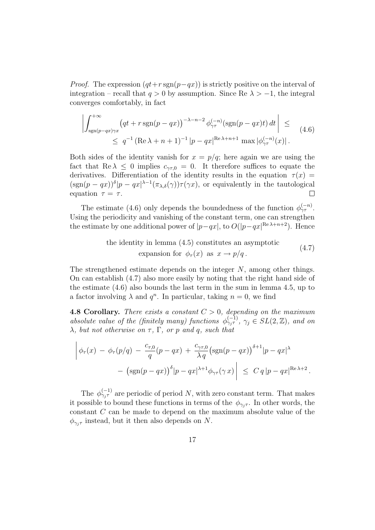*Proof.* The expression  $(qt+r \text{sgn}(p-qx))$  is strictly positive on the interval of integration – recall that  $q > 0$  by assumption. Since Re  $\lambda > -1$ , the integral converges comfortably, in fact

$$
\left| \int_{\text{sgn}(p-qx)\gamma x}^{+\infty} \left( qt + r \operatorname{sgn}(p-qx) \right)^{-\lambda - n-2} \phi_{\gamma\tau}^{(-n)} \left( \operatorname{sgn}(p-qx)t \right) dt \right| \leq
$$
\n
$$
\leq q^{-1} \left( \operatorname{Re}\lambda + n + 1 \right)^{-1} \left| p - qx \right|^{ \operatorname{Re}\lambda + n + 1} \max \left| \phi_{\gamma\tau}^{(-n)}(x) \right|.
$$
\n(4.6)

Both sides of the identity vanish for  $x = p/q$ ; here again we are using the fact that  $\text{Re }\lambda \leq 0$  implies  $c_{\gamma\tau,0} = 0$ . It therefore suffices to equate the derivatives. Differentiation of the identity results in the equation  $\tau(x)$  =  $(\text{sgn}(p-qx))^{\delta}|p-qx|^{\lambda-1}(\pi_{\lambda,\delta}(\gamma))\tau(\gamma x),$  or equivalently in the tautological equation  $\tau = \tau$ .  $\Box$ 

The estimate (4.6) only depends the boundedness of the function  $\phi_{\gamma\tau}^{(-n)}$ . Using the periodicity and vanishing of the constant term, one can strengthen the estimate by one additional power of  $|p-qx|$ , to  $O(|p-qx|^{\text{Re }\lambda+n+2})$ . Hence

the identity in lemma (4.5) constitutes an asymptotic  
expansion for 
$$
\phi_{\tau}(x)
$$
 as  $x \to p/q$ . (4.7)

The strengthened estimate depends on the integer N, among other things. On can establish (4.7) also more easily by noting that the right hand side of the estimate (4.6) also bounds the last term in the sum in lemma 4.5, up to a factor involving  $\lambda$  and  $q^n$ . In particular, taking  $n = 0$ , we find

**4.8 Corollary.** There exists a constant  $C > 0$ , depending on the maximum absolute value of the (finitely many) functions  $\phi_{\gamma_j}^{(-1)}, \gamma_j \in SL(2, \mathbb{Z})$ , and on  $\lambda$ , but not otherwise on  $\tau$ ,  $\Gamma$ , or p and q, such that

$$
\left| \phi_{\tau}(x) - \phi_{\tau}(p/q) - \frac{c_{\tau,0}}{q}(p-qx) + \frac{c_{\gamma\tau,0}}{\lambda q}(\text{sgn}(p-qx))^{ \delta+1} |p-qx|^{\lambda} - (\text{sgn}(p-qx))^{ \delta} |p-qx|^{\lambda+1} \phi_{\gamma\tau}(\gamma x) \right| \leq C q |p-qx|^{\text{Re}\lambda+2}.
$$

The  $\phi_{\gamma_j \tau}^{(-1)}$  are periodic of period N, with zero constant term. That makes it possible to bound these functions in terms of the  $\phi_{\gamma,\tau}$ . In other words, the constant C can be made to depend on the maximum absolute value of the  $\phi_{\gamma_i \tau}$  instead, but it then also depends on N.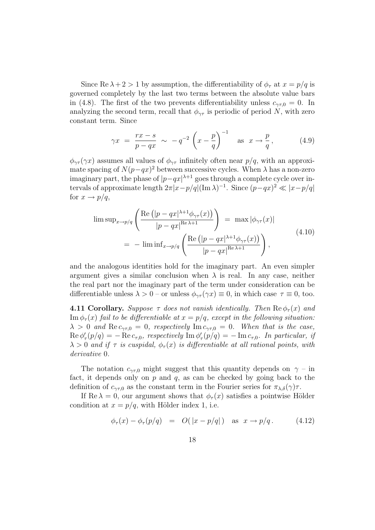Since Re  $\lambda + 2 > 1$  by assumption, the differentiability of  $\phi_{\tau}$  at  $x = p/q$  is governed completely by the last two terms between the absolute value bars in (4.8). The first of the two prevents differentiability unless  $c_{\gamma \tau,0} = 0$ . In analyzing the second term, recall that  $\phi_{\gamma\tau}$  is periodic of period N, with zero constant term. Since

$$
\gamma x = \frac{rx - s}{p - qx} \sim -q^{-2} \left( x - \frac{p}{q} \right)^{-1} \quad \text{as} \quad x \to \frac{p}{q}, \tag{4.9}
$$

 $\phi_{\gamma\tau}(\gamma x)$  assumes all values of  $\phi_{\gamma\tau}$  infinitely often near  $p/q$ , with an approximate spacing of  $N(p-qx)^2$  between successive cycles. When  $\lambda$  has a non-zero imaginary part, the phase of  $|p-qx|^{\lambda+1}$  goes through a complete cycle over intervals of approximate length  $2\pi |x-p/q| (\text{Im }\lambda)^{-1}$ . Since  $(p-qx)^2 \ll |x-p/q|$ for  $x \rightarrow p/q$ ,

$$
\limsup_{x \to p/q} \left( \frac{\text{Re} \left( |p - qx|^{\lambda + 1} \phi_{\gamma \tau}(x) \right)}{|p - qx|^{\text{Re }\lambda + 1}} \right) = \max |\phi_{\gamma \tau}(x)|
$$
\n
$$
= -\liminf_{x \to p/q} \left( \frac{\text{Re} \left( |p - qx|^{\lambda + 1} \phi_{\gamma \tau}(x) \right)}{|p - qx|^{\text{Re }\lambda + 1}} \right), \tag{4.10}
$$

and the analogous identities hold for the imaginary part. An even simpler argument gives a similar conclusion when  $\lambda$  is real. In any case, neither the real part nor the imaginary part of the term under consideration can be differentiable unless  $\lambda > 0$  – or unless  $\phi_{\gamma\tau}(\gamma x) \equiv 0$ , in which case  $\tau \equiv 0$ , too.

**4.11 Corollary.** Suppose  $\tau$  does not vanish identically. Then  $\text{Re}\,\phi_{\tau}(x)$  and  $\text{Im}\,\phi_{\tau}(x)$  fail to be differentiable at  $x = p/q$ , except in the following situation:  $\lambda > 0$  and  $\text{Re } c_{\gamma \tau,0} = 0$ , respectively  $\text{Im } c_{\gamma \tau,0} = 0$ . When that is the case,  $\text{Re}\,\phi_{\tau}'(p/q) = -\text{Re}\,c_{\tau,0},$  respectively  $\text{Im}\,\phi_{\tau}'(p/q) = -\text{Im}\,c_{\tau,0}.$  In particular, if  $\lambda > 0$  and if  $\tau$  is cuspidal,  $\phi_{\tau}(x)$  is differentiable at all rational points, with derivative 0.

The notation  $c_{\gamma\tau,0}$  might suggest that this quantity depends on  $\gamma$  – in fact, it depends only on  $p$  and  $q$ , as can be checked by going back to the definition of  $c_{\gamma\tau,0}$  as the constant term in the Fourier series for  $\pi_{\lambda,\delta}(\gamma)\tau$ .

If Re  $\lambda = 0$ , our argument shows that  $\phi_{\tau}(x)$  satisfies a pointwise Hölder condition at  $x = p/q$ , with Hölder index 1, i.e.

$$
\phi_{\tau}(x) - \phi_{\tau}(p/q) = O(|x - p/q|) \quad \text{as} \quad x \to p/q. \tag{4.12}
$$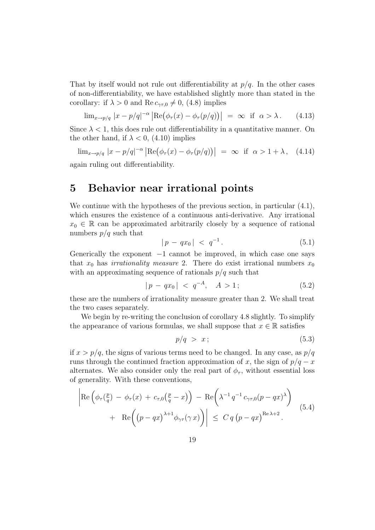That by itself would not rule out differentiability at  $p/q$ . In the other cases of non-differentiability, we have established slightly more than stated in the corollary: if  $\lambda > 0$  and Re  $c_{\gamma \tau,0} \neq 0$ , (4.8) implies

$$
\lim_{x \to p/q} |x - p/q|^{-\alpha} \left| \text{Re}(\phi_\tau(x) - \phi_\tau(p/q)) \right| = \infty \quad \text{if} \quad \alpha > \lambda. \tag{4.13}
$$

Since  $\lambda < 1$ , this does rule out differentiability in a quantitative manner. On the other hand, if  $\lambda < 0$ , (4.10) implies

 $\lim_{x\to p/q} |x-p/q|^{-\alpha} \left|\text{Re}(\phi_\tau(x)-\phi_\tau(p/q))\right|$  $\vert = \infty$  if  $\alpha > 1 + \lambda$ , (4.14) again ruling out differentiability.

## 5 Behavior near irrational points

We continue with the hypotheses of the previous section, in particular  $(4.1)$ , which ensures the existence of a continuous anti-derivative. Any irrational  $x_0 \in \mathbb{R}$  can be approximated arbitrarily closely by a sequence of rational numbers  $p/q$  such that

$$
|p - qx_0| < q^{-1}.\tag{5.1}
$$

Generically the exponent  $-1$  cannot be improved, in which case one says that  $x_0$  has *irrationality measure* 2. There do exist irrational numbers  $x_0$ with an approximating sequence of rationals  $p/q$  such that

$$
|p - qx_0| < q^{-A}, \quad A > 1; \tag{5.2}
$$

these are the numbers of irrationality measure greater than 2. We shall treat the two cases separately.

We begin by re-writing the conclusion of corollary 4.8 slightly. To simplify the appearance of various formulas, we shall suppose that  $x \in \mathbb{R}$  satisfies

$$
p/q > x;
$$
\n<sup>(5.3)</sup>

if  $x > p/q$ , the signs of various terms need to be changed. In any case, as  $p/q$ runs through the continued fraction approximation of x, the sign of  $p/q - x$ alternates. We also consider only the real part of  $\phi_{\tau}$ , without essential loss of generality. With these conventions,

$$
\left| \operatorname{Re} \left( \phi_\tau(\frac{p}{q}) - \phi_\tau(x) + c_{\tau,0}(\frac{p}{q} - x) \right) - \operatorname{Re} \left( \lambda^{-1} q^{-1} c_{\gamma \tau,0} (p - qx)^{\lambda} \right) \right|
$$
\n
$$
+ \left| \operatorname{Re} \left( (p - qx)^{\lambda + 1} \phi_{\gamma \tau}(\gamma x) \right) \right| \leq C q (p - qx)^{\operatorname{Re} \lambda + 2}.
$$
\n(5.4)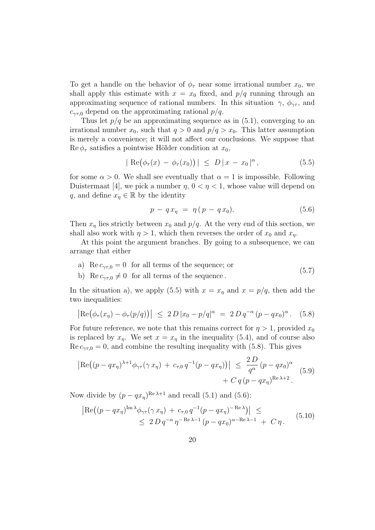To get a handle on the behavior of  $\phi_{\tau}$  near some irrational number  $x_0$ , we shall apply this estimate with  $x = x_0$  fixed, and  $p/q$  running through an approximating sequence of rational numbers. In this situation  $\gamma$ ,  $\phi_{\gamma\tau}$ , and  $c_{\gamma\tau,0}$  depend on the approximating rational  $p/q$ .

Thus let  $p/q$  be an approximating sequence as in  $(5.1)$ , converging to an irrational number  $x_0$ , such that  $q > 0$  and  $p/q > x_0$ . This latter assumption is merely a convenience; it will not affect our conclusions. We suppose that  $\text{Re}\,\phi_{\tau}$  satisfies a pointwise Hölder condition at  $x_0$ ,

$$
|\text{Re}(\phi_{\tau}(x) - \phi_{\tau}(x_0))| \leq D |x - x_0|^{\alpha},
$$
 (5.5)

for some  $\alpha > 0$ . We shall see eventually that  $\alpha = 1$  is impossible. Following Duistermaat [4], we pick a number  $\eta$ ,  $0 < \eta < 1$ , whose value will depend on q, and define  $x_n \in \mathbb{R}$  by the identity

$$
p - q x_{\eta} = \eta (p - q x_0). \tag{5.6}
$$

Then  $x_n$  lies strictly between  $x_0$  and  $p/q$ . At the very end of this section, we shall also work with  $\eta > 1$ , which then reverses the order of  $x_0$  and  $x_n$ .

At this point the argument branches. By going to a subsequence, we can arrange that either

- a) Re  $c_{\gamma\tau,0} = 0$  for all terms of the sequence; or (5.7)
- b) Re  $c_{\gamma\tau,0} \neq 0$  for all terms of the sequence.

In the situation a), we apply (5.5) with  $x = x<sub>\eta</sub>$  and  $x = p/q$ , then add the two inequalities:

$$
|\text{Re}(\phi_{\tau}(x_{\eta}) - \phi_{\tau}(p/q))| \le 2 D |x_0 - p/q|^{\alpha} = 2 D q^{-\alpha} (p - qx_0)^{\alpha}.
$$
 (5.8)

For future reference, we note that this remains correct for  $\eta > 1$ , provided  $x_0$ is replaced by  $x_n$ . We set  $x = x_n$  in the inequality (5.4), and of course also  $\text{Re } c_{\gamma\tau,0} = 0$ , and combine the resulting inequality with (5.8). This gives

$$
\left| \text{Re} \left( (p - qx_{\eta})^{\lambda + 1} \phi_{\gamma \tau}(\gamma x_{\eta}) + c_{\tau,0} q^{-1} (p - qx_{\eta}) \right) \right| \leq \frac{2D}{q^{\alpha}} (p - qx_0)^{\alpha} + C q (p - qx_{\eta})^{\text{Re}\lambda + 2}.
$$
 (5.9)

Now divide by  $(p - qx_n)^{\text{Re }\lambda+1}$  and recall (5.1) and (5.6):

$$
\left| \text{Re} \left( (p - qx_{\eta})^{\text{Im}\,\lambda} \phi_{\gamma\tau}(\gamma \,x_{\eta}) + c_{\tau,0} \, q^{-1} (p - qx_{\eta})^{-\text{Re}\,\lambda} \right) \right| \leq
$$
  
 
$$
\leq 2 \, D \, q^{-\alpha} \, \eta^{-\text{Re}\,\lambda - 1} \, (p - qx_0)^{\alpha - \text{Re}\,\lambda - 1} + C \, \eta \,.
$$
 (5.10)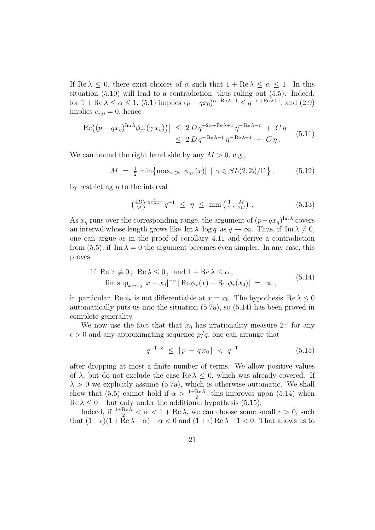If Re  $\lambda \leq 0$ , there exist choices of  $\alpha$  such that  $1 + \text{Re }\lambda \leq \alpha \leq 1$ . In this situation (5.10) will lead to a contradiction, thus ruling out (5.5). Indeed, for  $1 + \text{Re }\lambda \le \alpha \le 1$ , (5.1) implies  $(p - qx_0)^{\alpha - \text{Re }\lambda - 1} \le q^{-\alpha + \text{Re }\lambda + 1}$ , and (2.9) implies  $c_{\tau,0} = 0$ , hence

$$
\left| \operatorname{Re} \left( (p - qx_{\eta})^{\operatorname{Im} \lambda} \phi_{\gamma \tau}(\gamma x_{\eta}) \right) \right| \leq 2 D q^{-2\alpha + \operatorname{Re} \lambda + 1} \eta^{-\operatorname{Re} \lambda - 1} + C \eta
$$
  

$$
\leq 2 D q^{-\operatorname{Re} \lambda - 1} \eta^{-\operatorname{Re} \lambda - 1} + C \eta.
$$
 (5.11)

We can bound the right hand side by any  $M > 0$ , e.g.,

$$
M = \frac{1}{2} \min \{ \max_{x \in \mathbb{R}} |\phi_{\gamma \tau}(x)| \mid \gamma \in SL(2, \mathbb{Z})/\Gamma \}, \qquad (5.12)
$$

by restricting  $\eta$  to the interval

$$
\left(\frac{4D}{M}\right)^{\frac{1}{\text{Re }\lambda+1}} q^{-1} \leq \eta \leq \min\left(\frac{1}{2}, \frac{M}{2C}\right). \tag{5.13}
$$

As  $x_{\eta}$  runs over the corresponding range, the argument of  $(p-qx_{\eta})^{\text{Im }\lambda}$  covers an interval whose length grows like Im  $\lambda \log q$  as  $q \to \infty$ . Thus, if Im  $\lambda \neq 0$ , one can argue as in the proof of corollary 4.11 and derive a contradiction from (5.5); if Im  $\lambda = 0$  the argument becomes even simpler. In any case, this proves

if Re 
$$
\tau \neq 0
$$
, Re  $\lambda \leq 0$ , and  $1 + \text{Re }\lambda \leq \alpha$ ,  
\n
$$
\limsup_{x \to x_0} |x - x_0|^{-\alpha} |\text{Re }\phi_\tau(x) - \text{Re }\phi_\tau(x_0)| = \infty;
$$
\n(5.14)

in particular,  $\text{Re}\,\phi_{\tau}$  is not differentiable at  $x = x_0$ . The hypothesis  $\text{Re}\,\lambda \leq 0$ automatically puts us into the situation (5.7a), so (5.14) has been proved in complete generality.

We now use the fact that that  $x_0$  has irrationality measure 2: for any  $\epsilon > 0$  and any approximating sequence  $p/q$ , one can arrange that

$$
q^{-1-\epsilon} \le |p - qx_0| < q^{-1} \tag{5.15}
$$

after dropping at most a finite number of terms. We allow positive values of  $\lambda$ , but do not exclude the case Re  $\lambda \leq 0$ , which was already covered. If  $\lambda > 0$  we explicitly assume (5.7a), which is otherwise automatic. We shall show that (5.5) cannot hold if  $\alpha > \frac{1 + \text{Re }\lambda}{2}$ ; this improves upon (5.14) when  $\text{Re }\lambda \leq 0$  – but only under the additional hypothesis (5.15).

Indeed, if  $\frac{1+Re\lambda}{2} < \alpha < 1+Re\lambda$ , we can choose some small  $\epsilon > 0$ , such that  $(1+\epsilon)(1+\bar{R}e\lambda-\alpha)-\alpha<0$  and  $(1+\epsilon)Re \lambda-1<0$ . That allows us to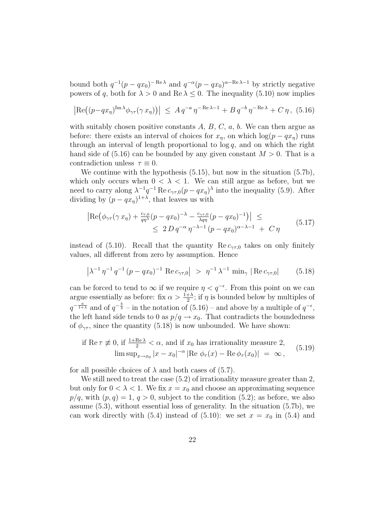bound both  $q^{-1}(p-qx_0)^{-\text{Re }\lambda}$  and  $q^{-\alpha}(p-qx_0)^{\alpha-\text{Re }\lambda-1}$  by strictly negative powers of q, both for  $\lambda > 0$  and Re  $\lambda \leq 0$ . The inequality (5.10) now implies

$$
\left| \operatorname{Re} \left( (p - qx_{\eta})^{\operatorname{Im} \lambda} \phi_{\gamma \tau}(\gamma x_{\eta}) \right) \right| \leq A q^{-a} \eta^{-\operatorname{Re} \lambda - 1} + B q^{-b} \eta^{-\operatorname{Re} \lambda} + C \eta, \ (5.16)
$$

with suitably chosen positive constants  $A, B, C, a, b$ . We can then argue as before: there exists an interval of choices for  $x_n$ , on which  $\log(p - qx_n)$  runs through an interval of length proportional to  $log q$ , and on which the right hand side of  $(5.16)$  can be bounded by any given constant  $M > 0$ . That is a contradiction unless  $\tau \equiv 0$ .

We continue with the hypothesis (5.15), but now in the situation (5.7b), which only occurs when  $0 < \lambda < 1$ . We can still argue as before, but we need to carry along  $\lambda^{-1}q^{-1}$  Re  $c_{\gamma\tau,0}(p-qx_{\eta})^{\lambda}$  into the inequality (5.9). After dividing by  $(p - qx<sub>\eta</sub>)^{1+\lambda}$ , that leaves us with

$$
\left| \text{Re} \left( \phi_{\gamma \tau} (\gamma x_{\eta}) + \frac{c_{\tau,0}}{q \eta^{\lambda}} (p - q x_0)^{-\lambda} - \frac{c_{\gamma \tau,0}}{\lambda q \eta} (p - q x_0)^{-1} \right) \right| \leq
$$
  
 
$$
\leq 2 D q^{-\alpha} \eta^{-\lambda - 1} (p - q x_0)^{\alpha - \lambda - 1} + C \eta
$$
 (5.17)

instead of (5.10). Recall that the quantity  $\text{Re } c_{\gamma \tau,0}$  takes on only finitely values, all different from zero by assumption. Hence

$$
\left|\lambda^{-1}\,\eta^{-1}\,q^{-1}\,(p-qx_0)^{-1}\;\text{Re}\,c_{\gamma\tau,0}\right| \;>\; \eta^{-1}\,\lambda^{-1}\,\min_{\gamma}\;|\text{Re}\,c_{\gamma\tau,0}| \qquad (5.18)
$$

can be forced to tend to  $\infty$  if we require  $\eta < q^{-\epsilon}$ . From this point on we can argue essentially as before: fix  $\alpha > \frac{1+\lambda}{2}$ ; if  $\eta$  is bounded below by multiples of  $q^{-\frac{a}{1+\lambda}}$  and of  $q^{-\frac{b}{\lambda}}$  – in the notation of (5.16) – and above by a multiple of  $q^{-\epsilon}$ , the left hand side tends to 0 as  $p/q \rightarrow x_0$ . That contradicts the boundedness of  $\phi_{\gamma\tau}$ , since the quantity (5.18) is now unbounded. We have shown:

if Re 
$$
\tau \neq 0
$$
, if  $\frac{1+\text{Re }\lambda}{2} < \alpha$ , and if  $x_0$  has irrationality measure 2,  
\n
$$
\limsup_{x \to x_0} |x - x_0|^{-\alpha} |\text{Re }\phi_\tau(x) - \text{Re }\phi_\tau(x_0)| = \infty,
$$
\n(5.19)

for all possible choices of  $\lambda$  and both cases of (5.7).

We still need to treat the case  $(5.2)$  of irrationality measure greater than 2, but only for  $0 < \lambda < 1$ . We fix  $x = x_0$  and choose an approximating sequence  $p/q$ , with  $(p, q) = 1$ ,  $q > 0$ , subject to the condition  $(5.2)$ ; as before, we also assume (5.3), without essential loss of generality. In the situation (5.7b), we can work directly with (5.4) instead of (5.10): we set  $x = x_0$  in (5.4) and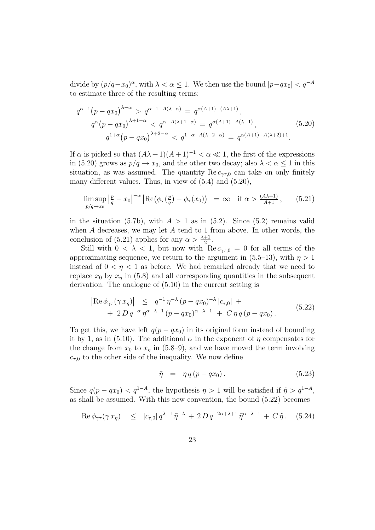divide by  $(p/q - x_0)^\alpha$ , with  $\lambda < \alpha \leq 1$ . We then use the bound  $|p-qx_0| < q^{-A}$ to estimate three of the resulting terms:

$$
q^{\alpha-1}(p-qx_0)^{\lambda-\alpha} > q^{\alpha-1-A(\lambda-\alpha)} = q^{\alpha(A+1)-(A\lambda+1)},
$$
  
\n
$$
q^{\alpha}(p-qx_0)^{\lambda+1-\alpha} < q^{\alpha-A(\lambda+1-\alpha)} = q^{\alpha(A+1)-A(\lambda+1)},
$$
\n
$$
q^{1+\alpha}(p-qx_0)^{\lambda+2-\alpha} < q^{1+\alpha-A(\lambda+2-\alpha)} = q^{\alpha(A+1)-A(\lambda+2)+1}.
$$
\n(5.20)

If  $\alpha$  is picked so that  $(A\lambda + 1)(A + 1)^{-1} < \alpha \ll 1$ , the first of the expressions in (5.20) grows as  $p/q \to x_0$ , and the other two decay; also  $\lambda < \alpha \leq 1$  in this situation, as was assumed. The quantity Re  $c_{\gamma\tau,0}$  can take on only finitely many different values. Thus, in view of  $(5.4)$  and  $(5.20)$ ,

$$
\limsup_{p/q \to x_0} \left| \frac{p}{q} - x_0 \right|^{-\alpha} \left| \text{Re} \left( \phi_\tau \left( \frac{p}{q} \right) - \phi_\tau(x_0) \right) \right| \ = \infty \quad \text{if } \alpha > \frac{(A\lambda + 1)}{A + 1},\tag{5.21}
$$

in the situation (5.7b), with  $A > 1$  as in (5.2). Since (5.2) remains valid when  $A$  decreases, we may let  $A$  tend to 1 from above. In other words, the conclusion of (5.21) applies for any  $\alpha > \frac{\lambda+1}{2}$ .

Still with  $0 < \lambda < 1$ , but now with Re  $c_{\gamma\tau,0} = 0$  for all terms of the approximating sequence, we return to the argument in  $(5.5-13)$ , with  $\eta > 1$ instead of  $0 < \eta < 1$  as before. We had remarked already that we need to replace  $x_0$  by  $x_n$  in (5.8) and all corresponding quantities in the subsequent derivation. The analogue of (5.10) in the current setting is

$$
\begin{aligned} \left| \text{Re} \, \phi_{\gamma \tau}(\gamma \, x_{\eta}) \right| &\leq q^{-1} \, \eta^{-\lambda} \, (p - q x_0)^{-\lambda} \, |c_{\tau,0}| \, + \\ &+ 2 \, D \, q^{-\alpha} \, \eta^{\alpha - \lambda - 1} \, (p - q x_0)^{\alpha - \lambda - 1} \, + \, C \, \eta \, q \, (p - q x_0) \,. \end{aligned} \tag{5.22}
$$

To get this, we have left  $q(p - qx_0)$  in its original form instead of bounding it by 1, as in (5.10). The additional  $\alpha$  in the exponent of  $\eta$  compensates for the change from  $x_0$  to  $x_n$  in (5.8–9), and we have moved the term involving  $c_{\tau,0}$  to the other side of the inequality. We now define

$$
\tilde{\eta} = \eta q (p - qx_0). \tag{5.23}
$$

Since  $q(p - qx_0) < q^{1-A}$ , the hypothesis  $\eta > 1$  will be satisfied if  $\tilde{\eta} > q^{1-A}$ , as shall be assumed. With this new convention, the bound (5.22) becomes

$$
\left| \text{Re}\,\phi_{\gamma\tau}(\gamma\,x_{\eta}) \right| \leq |c_{\tau,0}| q^{\lambda-1} \tilde{\eta}^{-\lambda} + 2D q^{-2\alpha+\lambda+1} \tilde{\eta}^{\alpha-\lambda-1} + C \tilde{\eta}. \tag{5.24}
$$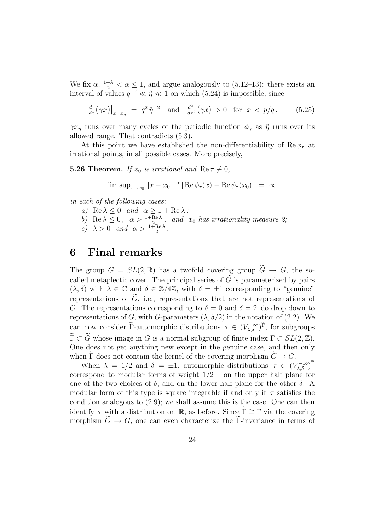We fix  $\alpha$ ,  $\frac{1+\lambda}{2} < \alpha \leq 1$ , and argue analogously to (5.12–13): there exists an interval of values  $q^{-\epsilon} \ll \tilde{\eta} \ll 1$  on which (5.24) is impossible; since

$$
\frac{d}{dx}(\gamma x)|_{x=x_{\eta}} = q^2 \tilde{\eta}^{-2} \text{ and } \frac{d^2}{dx^2}(\gamma x) > 0 \text{ for } x < p/q, \quad (5.25)
$$

 $\gamma x_{\eta}$  runs over many cycles of the periodic function  $\phi_{\gamma}$  as  $\tilde{\eta}$  runs over its allowed range. That contradicts (5.3).

At this point we have established the non-differentiability of  $\text{Re}\,\phi_{\tau}$  at irrational points, in all possible cases. More precisely,

**5.26 Theorem.** If  $x_0$  is irrational and  $\text{Re } \tau \neq 0$ ,

$$
\limsup_{x\to x_0}|x-x_0|^{-\alpha}|\operatorname{Re}\phi_\tau(x)-\operatorname{Re}\phi_\tau(x_0)| = \infty
$$

in each of the following cases:

a) Re  $\lambda \leq 0$  and  $\alpha \geq 1 + \text{Re }\lambda$ ;

b) Re  $\lambda \leq 0$ ,  $\alpha > \frac{1+Re\lambda}{\lambda^2}$ , and  $x_0$  has irrationality measure 2;

c) 
$$
\lambda > 0
$$
 and  $\alpha > \frac{1 \text{ }\tilde{+} \text{Re }\lambda}{2}$ .

## 6 Final remarks

The group  $G = SL(2,\mathbb{R})$  has a twofold covering group  $\widetilde{G} \to G$ , the socalled metaplectic cover. The principal series of  $\tilde{G}$  is parameterized by pairs  $(\lambda, \delta)$  with  $\lambda \in \mathbb{C}$  and  $\delta \in \mathbb{Z}/4\mathbb{Z}$ , with  $\delta = \pm 1$  corresponding to "genuine" representations of  $\tilde{G}$ , i.e., representations that are not representations of G. The representations corresponding to  $\delta = 0$  and  $\delta = 2$  do drop down to representations of G, with G-parameters  $(\lambda, \delta/2)$  in the notation of (2.2). We can now consider  $\widetilde{\Gamma}$ -automorphic distributions  $\tau \in (V_{\lambda,\delta}^{-\infty})^{\widetilde{\Gamma}}$ , for subgroups  $\widetilde{\Gamma} \subset \widetilde{G}$  whose image in G is a normal subgroup of finite index  $\Gamma \subset SL(2,\mathbb{Z})$ . One does not get anything new except in the genuine case, and then only when  $\widetilde{\Gamma}$  does not contain the kernel of the covering morphism  $\widetilde{G} \to G$ .

When  $\lambda = 1/2$  and  $\delta = \pm 1$ , automorphic distributions  $\tau \in (V_{\lambda,\delta}^{-\infty})^{\tilde{\Gamma}}$ correspond to modular forms of weight  $1/2$  – on the upper half plane for one of the two choices of  $\delta$ , and on the lower half plane for the other  $\delta$ . A modular form of this type is square integrable if and only if  $\tau$  satisfies the condition analogous to (2.9); we shall assume this is the case. One can then identify  $\tau$  with a distribution on R, as before. Since  $\widetilde{\Gamma} \cong \Gamma$  via the covering morphism  $\widetilde{G} \to G$ , one can even characterize the  $\widetilde{\Gamma}$ -invariance in terms of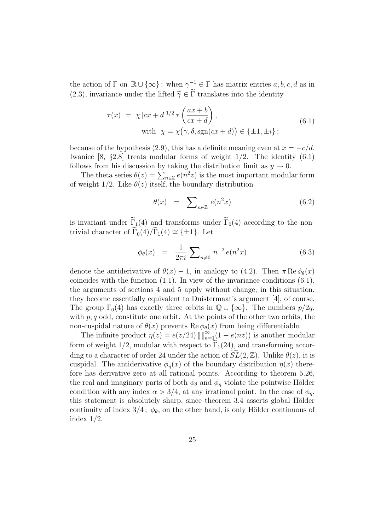the action of  $\Gamma$  on  $\mathbb{R} \cup \{\infty\}$ : when  $\gamma^{-1} \in \Gamma$  has matrix entries  $a, b, c, d$  as in (2.3), invariance under the lifted  $\tilde{\gamma} \in \tilde{\Gamma}$  translates into the identity

$$
\tau(x) = \chi |cx + d|^{1/2} \tau \left(\frac{ax + b}{cx + d}\right),
$$
  
with  $\chi = \chi(\gamma, \delta, \text{sgn}(cx + d)) \in \{\pm 1, \pm i\};$  (6.1)

because of the hypothesis (2.9), this has a definite meaning even at  $x = -c/d$ . Iwaniec  $[8, \, \{2.8\}$  treats modular forms of weight  $1/2$ . The identity  $(6.1)$ follows from his discussion by taking the distribution limit as  $y \to 0$ .

The theta series  $\theta(z) = \sum_{n \in \mathbb{Z}} e(n^2 z)$  is the most important modular form of weight 1/2. Like  $\theta(z)$  itself, the boundary distribution

$$
\theta(x) = \sum_{n \in \mathbb{Z}} e(n^2 x) \tag{6.2}
$$

is invariant under  $\widetilde{\Gamma}_1(4)$  and transforms under  $\widetilde{\Gamma}_0(4)$  according to the nontrivial character of  $\widetilde{\Gamma}_0(4)/\widetilde{\Gamma}_1(4) \cong {\pm 1}$ . Let

$$
\phi_{\theta}(x) = \frac{1}{2\pi i} \sum_{n \neq 0} n^{-2} e(n^2 x) \tag{6.3}
$$

denote the antiderivative of  $\theta(x) - 1$ , in analogy to (4.2). Then  $\pi \text{Re} \phi_{\theta}(x)$ coincides with the function (1.1). In view of the invariance conditions (6.1), the arguments of sections 4 and 5 apply without change; in this situation, they become essentially equivalent to Duistermaat's argument [4], of course. The group  $\Gamma_0(4)$  has exactly three orbits in  $\mathbb{Q} \cup {\infty}$ . The numbers  $p/2q$ , with  $p, q$  odd, constitute one orbit. At the points of the other two orbits, the non-cuspidal nature of  $\theta(x)$  prevents  $\text{Re}\,\phi_{\theta}(x)$  from being differentiable.

The infinite product  $\eta(z) = e(z/24) \prod_{n=1}^{\infty} (1 - e(nz))$  is another modular form of weight  $1/2$ , modular with respect to  $\Gamma_1(24)$ , and transforming according to a character of order 24 under the action of  $SL(2,\mathbb{Z})$ . Unlike  $\theta(z)$ , it is cuspidal. The antiderivative  $\phi_n(x)$  of the boundary distribution  $\eta(x)$  therefore has derivative zero at all rational points. According to theorem 5.26, the real and imaginary parts of both  $\phi_{\theta}$  and  $\phi_{\eta}$  violate the pointwise Hölder condition with any index  $\alpha > 3/4$ , at any irrational point. In the case of  $\phi_n$ , this statement is absolutely sharp, since theorem 3.4 asserts global Hölder continuity of index  $3/4$ ;  $\phi_{\theta}$ , on the other hand, is only Hölder continuous of index 1/2.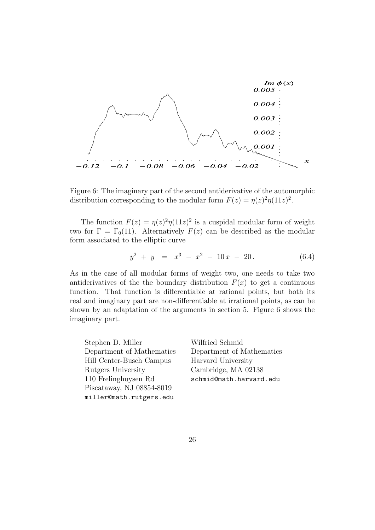

Figure 6: The imaginary part of the second antiderivative of the automorphic distribution corresponding to the modular form  $F(z) = \eta(z)^2 \eta(11z)^2$ .

The function  $F(z) = \eta(z)^2 \eta(11z)^2$  is a cuspidal modular form of weight two for  $\Gamma = \Gamma_0(11)$ . Alternatively  $F(z)$  can be described as the modular form associated to the elliptic curve

$$
y^2 + y = x^3 - x^2 - 10x - 20. \tag{6.4}
$$

As in the case of all modular forms of weight two, one needs to take two antiderivatives of the the boundary distribution  $F(x)$  to get a continuous function. That function is differentiable at rational points, but both its real and imaginary part are non-differentiable at irrational points, as can be shown by an adaptation of the arguments in section 5. Figure 6 shows the imaginary part.

| Stephen D. Miller         | Wilfried Schmid           |
|---------------------------|---------------------------|
| Department of Mathematics | Department of Mathematics |
| Hill Center-Busch Campus  | Harvard University        |
| Rutgers University        | Cambridge, MA 02138       |
| 110 Frelinghuysen Rd      | schmid@math.harvard.edu   |
| Piscataway, NJ 08854-8019 |                           |
| miller@math.rutgers.edu   |                           |